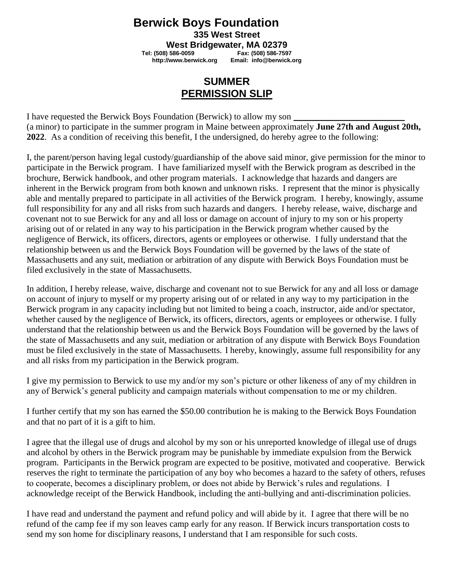## **Berwick Boys Foundation**

**335 West Street**

**West Bridgewater, MA 02379**<br>**237-686 Fax: (508) 586-759** Fax: (508) 586-759

 **Tel: (508) 586-0059 Fax: (508) 586-7597 [http://www.berwick.org](http://www.berwick.org/) Email: [info@berwick.org](mailto:info@berwick.org)**

## **SUMMER PERMISSION SLIP**

I have requested the Berwick Boys Foundation (Berwick) to allow my son (a minor) to participate in the summer program in Maine between approximately **June 27th and August 20th, 2022**. As a condition of receiving this benefit, I the undersigned, do hereby agree to the following:

I, the parent/person having legal custody/guardianship of the above said minor, give permission for the minor to participate in the Berwick program. I have familiarized myself with the Berwick program as described in the brochure, Berwick handbook, and other program materials. I acknowledge that hazards and dangers are inherent in the Berwick program from both known and unknown risks. I represent that the minor is physically able and mentally prepared to participate in all activities of the Berwick program. I hereby, knowingly, assume full responsibility for any and all risks from such hazards and dangers. I hereby release, waive, discharge and covenant not to sue Berwick for any and all loss or damage on account of injury to my son or his property arising out of or related in any way to his participation in the Berwick program whether caused by the negligence of Berwick, its officers, directors, agents or employees or otherwise. I fully understand that the relationship between us and the Berwick Boys Foundation will be governed by the laws of the state of Massachusetts and any suit, mediation or arbitration of any dispute with Berwick Boys Foundation must be filed exclusively in the state of Massachusetts.

In addition, I hereby release, waive, discharge and covenant not to sue Berwick for any and all loss or damage on account of injury to myself or my property arising out of or related in any way to my participation in the Berwick program in any capacity including but not limited to being a coach, instructor, aide and/or spectator, whether caused by the negligence of Berwick, its officers, directors, agents or employees or otherwise. I fully understand that the relationship between us and the Berwick Boys Foundation will be governed by the laws of the state of Massachusetts and any suit, mediation or arbitration of any dispute with Berwick Boys Foundation must be filed exclusively in the state of Massachusetts. I hereby, knowingly, assume full responsibility for any and all risks from my participation in the Berwick program.

I give my permission to Berwick to use my and/or my son's picture or other likeness of any of my children in any of Berwick's general publicity and campaign materials without compensation to me or my children.

I further certify that my son has earned the \$50.00 contribution he is making to the Berwick Boys Foundation and that no part of it is a gift to him.

I agree that the illegal use of drugs and alcohol by my son or his unreported knowledge of illegal use of drugs and alcohol by others in the Berwick program may be punishable by immediate expulsion from the Berwick program. Participants in the Berwick program are expected to be positive, motivated and cooperative. Berwick reserves the right to terminate the participation of any boy who becomes a hazard to the safety of others, refuses to cooperate, becomes a disciplinary problem, or does not abide by Berwick's rules and regulations. I acknowledge receipt of the Berwick Handbook, including the anti-bullying and anti-discrimination policies.

I have read and understand the payment and refund policy and will abide by it. I agree that there will be no refund of the camp fee if my son leaves camp early for any reason. If Berwick incurs transportation costs to send my son home for disciplinary reasons, I understand that I am responsible for such costs.